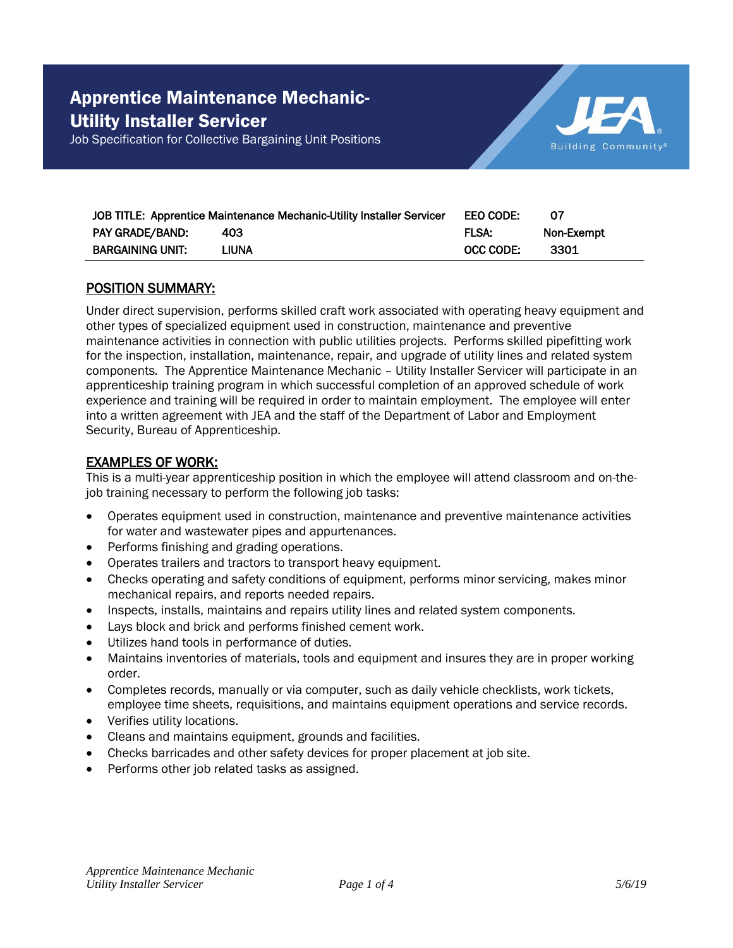



| JOB TITLE: Apprentice Maintenance Mechanic-Utility Installer Servicer |       | EEO CODE:    | -07        |
|-----------------------------------------------------------------------|-------|--------------|------------|
| <b>PAY GRADE/BAND:</b>                                                | 403   | <b>FLSA:</b> | Non-Exempt |
| <b>BARGAINING UNIT:</b>                                               | LIUNA | OCC CODE:    | - 3301     |

### POSITION SUMMARY:

Under direct supervision, performs skilled craft work associated with operating heavy equipment and other types of specialized equipment used in construction, maintenance and preventive maintenance activities in connection with public utilities projects. Performs skilled pipefitting work for the inspection, installation, maintenance, repair, and upgrade of utility lines and related system components*.* The Apprentice Maintenance Mechanic – Utility Installer Servicer will participate in an apprenticeship training program in which successful completion of an approved schedule of work experience and training will be required in order to maintain employment. The employee will enter into a written agreement with JEA and the staff of the Department of Labor and Employment Security, Bureau of Apprenticeship.

### EXAMPLES OF WORK:

This is a multi-year apprenticeship position in which the employee will attend classroom and on-thejob training necessary to perform the following job tasks:

- Operates equipment used in construction, maintenance and preventive maintenance activities for water and wastewater pipes and appurtenances.
- Performs finishing and grading operations.
- Operates trailers and tractors to transport heavy equipment.
- Checks operating and safety conditions of equipment, performs minor servicing, makes minor mechanical repairs, and reports needed repairs.
- Inspects, installs, maintains and repairs utility lines and related system components.
- Lays block and brick and performs finished cement work.
- Utilizes hand tools in performance of duties.
- Maintains inventories of materials, tools and equipment and insures they are in proper working order.
- Completes records, manually or via computer, such as daily vehicle checklists, work tickets, employee time sheets, requisitions, and maintains equipment operations and service records.
- Verifies utility locations.
- Cleans and maintains equipment, grounds and facilities.
- Checks barricades and other safety devices for proper placement at job site.
- Performs other job related tasks as assigned.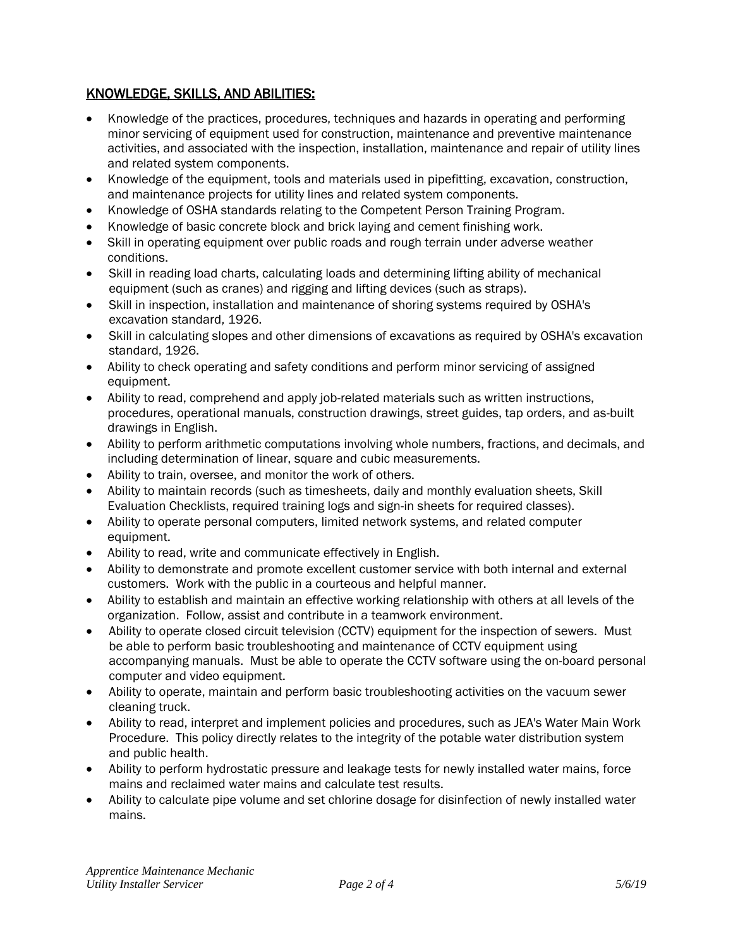# KNOWLEDGE, SKILLS, AND ABILITIES:

- Knowledge of the practices, procedures, techniques and hazards in operating and performing minor servicing of equipment used for construction, maintenance and preventive maintenance activities, and associated with the inspection, installation, maintenance and repair of utility lines and related system components.
- Knowledge of the equipment, tools and materials used in pipefitting, excavation, construction, and maintenance projects for utility lines and related system components.
- Knowledge of OSHA standards relating to the Competent Person Training Program.
- Knowledge of basic concrete block and brick laying and cement finishing work.
- Skill in operating equipment over public roads and rough terrain under adverse weather conditions.
- Skill in reading load charts, calculating loads and determining lifting ability of mechanical equipment (such as cranes) and rigging and lifting devices (such as straps).
- Skill in inspection, installation and maintenance of shoring systems required by OSHA's excavation standard, 1926.
- Skill in calculating slopes and other dimensions of excavations as required by OSHA's excavation standard, 1926.
- Ability to check operating and safety conditions and perform minor servicing of assigned equipment.
- Ability to read, comprehend and apply job-related materials such as written instructions, procedures, operational manuals, construction drawings, street guides, tap orders, and as-built drawings in English.
- Ability to perform arithmetic computations involving whole numbers, fractions, and decimals, and including determination of linear, square and cubic measurements.
- Ability to train, oversee, and monitor the work of others.
- Ability to maintain records (such as timesheets, daily and monthly evaluation sheets, Skill Evaluation Checklists, required training logs and sign-in sheets for required classes).
- Ability to operate personal computers, limited network systems, and related computer equipment.
- Ability to read, write and communicate effectively in English.
- Ability to demonstrate and promote excellent customer service with both internal and external customers. Work with the public in a courteous and helpful manner.
- Ability to establish and maintain an effective working relationship with others at all levels of the organization. Follow, assist and contribute in a teamwork environment.
- Ability to operate closed circuit television (CCTV) equipment for the inspection of sewers. Must be able to perform basic troubleshooting and maintenance of CCTV equipment using accompanying manuals. Must be able to operate the CCTV software using the on-board personal computer and video equipment.
- Ability to operate, maintain and perform basic troubleshooting activities on the vacuum sewer cleaning truck.
- Ability to read, interpret and implement policies and procedures, such as JEA's Water Main Work Procedure. This policy directly relates to the integrity of the potable water distribution system and public health.
- Ability to perform hydrostatic pressure and leakage tests for newly installed water mains, force mains and reclaimed water mains and calculate test results.
- Ability to calculate pipe volume and set chlorine dosage for disinfection of newly installed water mains.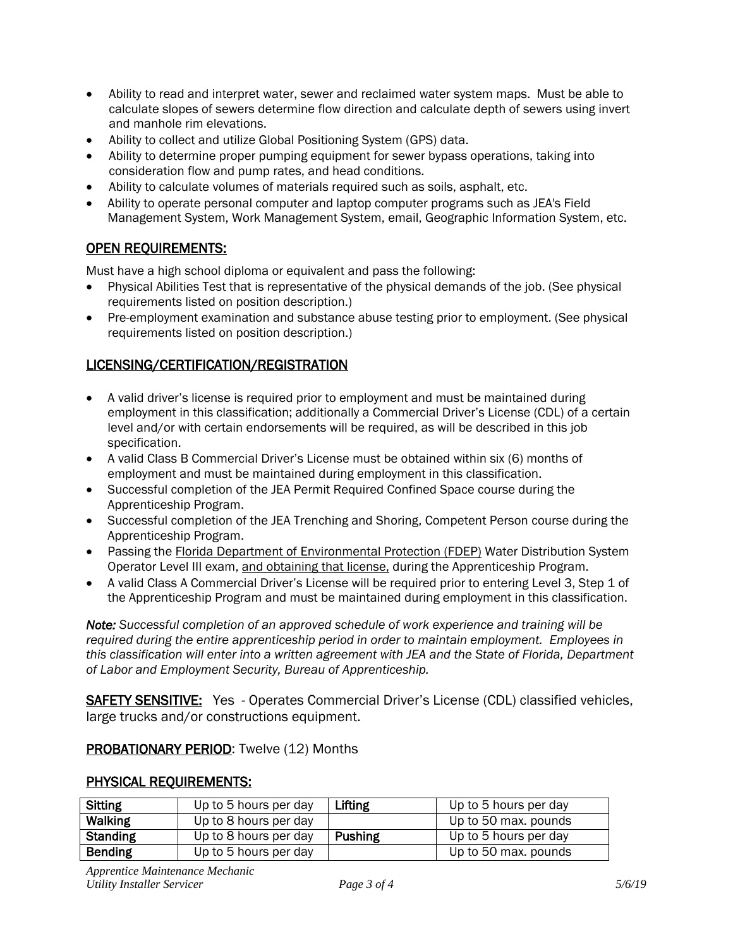- Ability to read and interpret water, sewer and reclaimed water system maps. Must be able to calculate slopes of sewers determine flow direction and calculate depth of sewers using invert and manhole rim elevations.
- Ability to collect and utilize Global Positioning System (GPS) data.
- Ability to determine proper pumping equipment for sewer bypass operations, taking into consideration flow and pump rates, and head conditions.
- Ability to calculate volumes of materials required such as soils, asphalt, etc.
- Ability to operate personal computer and laptop computer programs such as JEA's Field Management System, Work Management System, email, Geographic Information System, etc.

# OPEN REQUIREMENTS:

Must have a high school diploma or equivalent and pass the following:

- Physical Abilities Test that is representative of the physical demands of the job. (See physical requirements listed on position description.)
- Pre-employment examination and substance abuse testing prior to employment. (See physical requirements listed on position description.)

### LICENSING/CERTIFICATION/REGISTRATION

- A valid driver's license is required prior to employment and must be maintained during employment in this classification; additionally a Commercial Driver's License (CDL) of a certain level and/or with certain endorsements will be required, as will be described in this job specification.
- A valid Class B Commercial Driver's License must be obtained within six (6) months of employment and must be maintained during employment in this classification.
- Successful completion of the JEA Permit Required Confined Space course during the Apprenticeship Program.
- Successful completion of the JEA Trenching and Shoring, Competent Person course during the Apprenticeship Program.
- Passing the Florida Department of Environmental Protection (FDEP) Water Distribution System Operator Level III exam, and obtaining that license, during the Apprenticeship Program.
- A valid Class A Commercial Driver's License will be required prior to entering Level 3, Step 1 of the Apprenticeship Program and must be maintained during employment in this classification.

*Note: Successful completion of an approved schedule of work experience and training will be required during the entire apprenticeship period in order to maintain employment. Employees in this classification will enter into a written agreement with JEA and the State of Florida, Department of Labor and Employment Security, Bureau of Apprenticeship.*

SAFETY SENSITIVE: Yes - Operates Commercial Driver's License (CDL) classified vehicles, large trucks and/or constructions equipment.

### PROBATIONARY PERIOD: Twelve (12) Months

### PHYSICAL REQUIREMENTS:

| <b>Sitting</b>  | Up to 5 hours per day | Lifting        | Up to 5 hours per day |
|-----------------|-----------------------|----------------|-----------------------|
| <b>Walking</b>  | Up to 8 hours per day |                | Up to 50 max. pounds  |
| <b>Standing</b> | Up to 8 hours per day | <b>Pushing</b> | Up to 5 hours per day |
| <b>Bending</b>  | Up to 5 hours per day |                | Up to 50 max. pounds  |